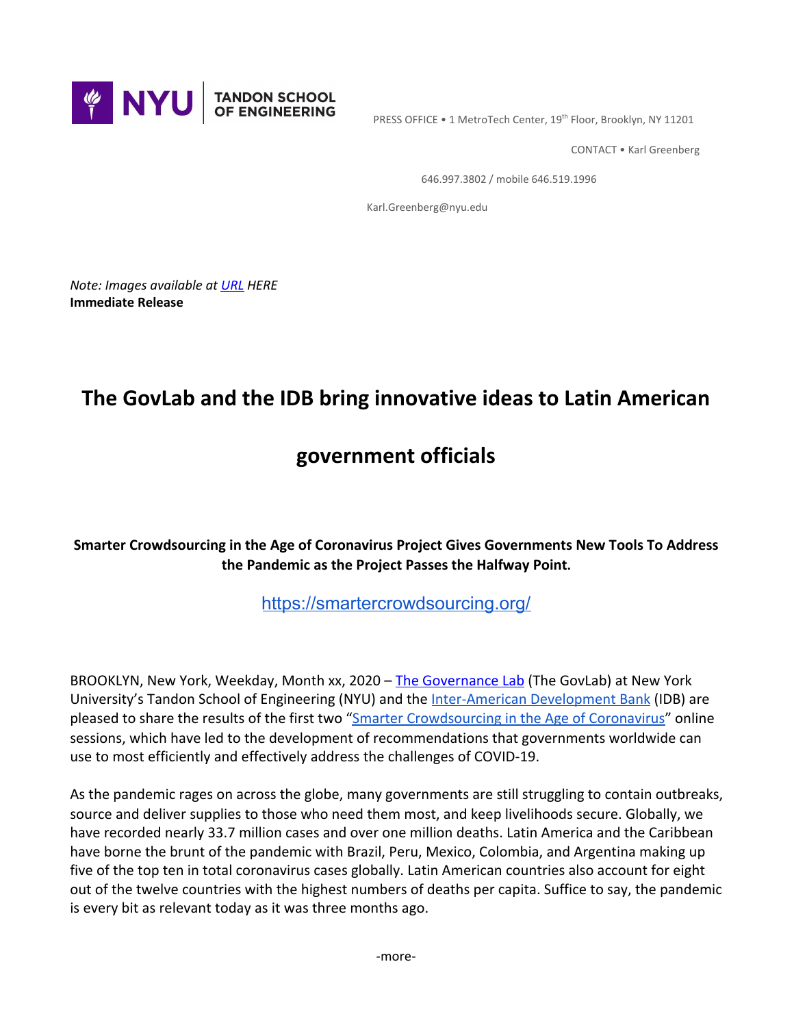

PRESS OFFICE • 1 MetroTech Center, 19<sup>th</sup> Floor, Brooklyn, NY 11201

CONTACT • Karl Greenberg

646.997.3802 / mobile 646.519.1996

Karl.Greenberg@nyu.edu

*Note: Images available at [URL](http://dam.poly.edu/?c=1567&k=984d698834) HERE* **Immediate Release**

# **The GovLab and the IDB bring innovative ideas to Latin American**

## **government officials**

**Smarter Crowdsourcing in the Age of Coronavirus Project Gives Governments New Tools To Address the Pandemic as the Project Passes the Halfway Point.**

[https://smartercrowdsourcing.org/](https://urldefense.proofpoint.com/v2/url?u=https-3A__smartercrowdsourcing.org_&d=DwMFaQ&c=slrrB7dE8n7gBJbeO0g-IQ&r=bvlIfbjNh54RJ_iD1lUTzfyViTsh8dTslM-Qt6Jk9HQ&m=tMyFzTAHskLSaGuJ4itmKzt2WHJbRKm5Cfj7HDm_wz4&s=mkyIZqT4p8JDURmOW-5ilN5belpS4TugbPgWv3jGKE4&e=)

BROOKLYN, New York, Weekday, Month xx, 2020 – [The Governance Lab](http://www.thegovlab.org/) (The GovLab) at New York University's Tandon School of Engineering (NYU) and the [Inter-American Development Bank](https://www.iadb.org/en) (IDB) are pleased to share the results of the first two "[Smarter Crowdsourcing in the Age of Coronavirus"](https://coronavirus.smartercrowdsourcing.org/) online sessions, which have led to the development of recommendations that governments worldwide can use to most efficiently and effectively address the challenges of COVID-19.

As the pandemic rages on across the globe, many governments are still struggling to contain outbreaks, source and deliver supplies to those who need them most, and keep livelihoods secure. Globally, we have recorded nearly 33.7 million cases and over one million deaths. Latin America and the Caribbean have borne the brunt of the pandemic with Brazil, Peru, Mexico, Colombia, and Argentina making up five of the top ten in total coronavirus cases globally. Latin American countries also account for eight out of the twelve countries with the highest numbers of deaths per capita. Suffice to say, the pandemic is every bit as relevant today as it was three months ago.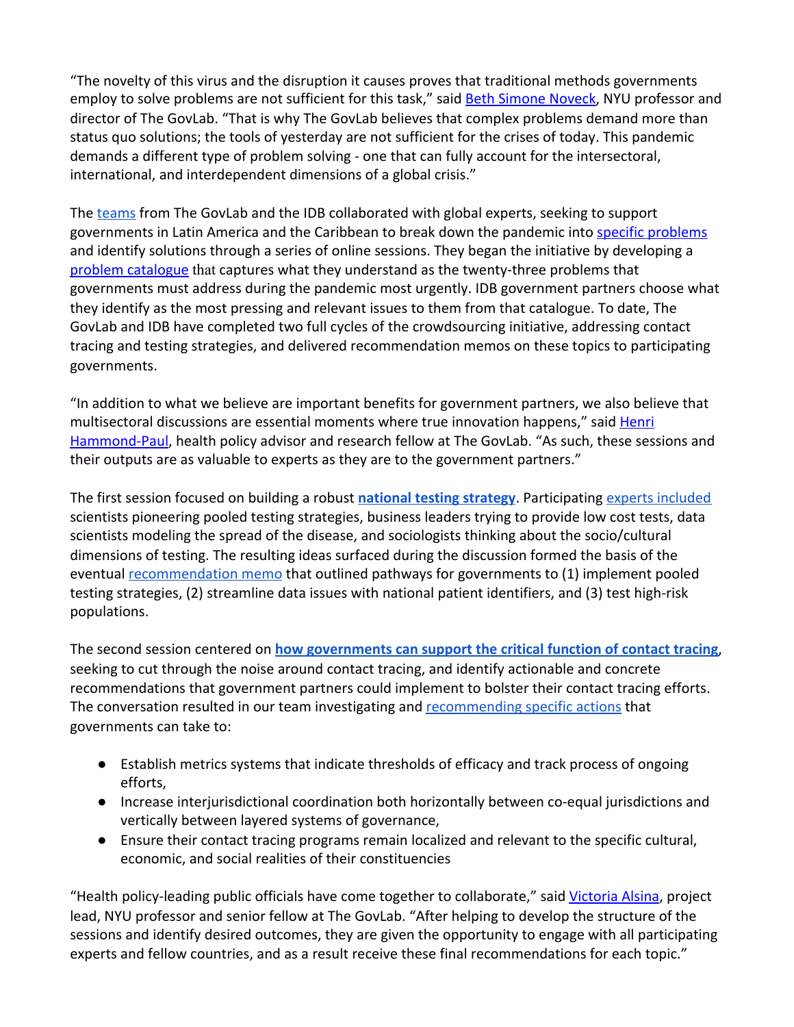"The novelty of this virus and the disruption it causes proves that traditional methods governments employ to solve problems are not sufficient for this task," said **Beth Simone Noveck**, NYU professor and director of The GovLab. "That is why The GovLab believes that complex problems demand more than status quo solutions; the tools of yesterday are not sufficient for the crises of today. This pandemic demands a different type of problem solving - one that can fully account for the intersectoral, international, and interdependent dimensions of a global crisis."

The [teams](https://coronavirus.smartercrowdsourcing.org/team.html) from The GovLab and the IDB collaborated with global experts, seeking to support governments in Latin America and the Caribbean to break down the pandemic into [specific problems](https://coronavirus.smartercrowdsourcing.org/files/sc_problem_catalogue_en.pdf) and identify solutions through a series of online sessions. They began the initiative by developing a [problem catalogue](https://coronavirus.smartercrowdsourcing.org/files/sc_problem_catalogue_en.pdf) that captures what they understand as the twenty-three problems that governments must address during the pandemic most urgently. IDB government partners choose what they identify as the most pressing and relevant issues to them from that catalogue. To date, The GovLab and IDB have completed two full cycles of the crowdsourcing initiative, addressing contact tracing and testing strategies, and delivered recommendation memos on these topics to participating governments.

"In addition to what we believe are important benefits for government partners, we also believe that multisectoral discussions are essential moments where true innovation happens," said [Henri](https://www.thegovlab.org/team.html) [Hammond-Paul](https://www.thegovlab.org/team.html), health policy advisor and research fellow at The GovLab. "As such, these sessions and their outputs are as valuable to experts as they are to the government partners."

The first session focused on building a robust **[national testing strategy](https://docs.google.com/document/d/1LHALQiytFTbzU77l7WWmS2saUiLY2k-SjXKlOk0sL1Y/edit?usp=sharing)**. Participating [experts included](https://docs.google.com/document/d/1ZFLCdLyl4nI6a6ZVOkJvGFJ5hnTpOU4F3_rlBsSDQMI/edit?usp=sharing) scientists pioneering pooled testing strategies, business leaders trying to provide low cost tests, data scientists modeling the spread of the disease, and sociologists thinking about the socio/cultural dimensions of testing. The resulting ideas surfaced during the discussion formed the basis of the eventual [recommendation memo](https://docs.google.com/document/d/1zKEiumAM1lKJBdijORviBacpkbE9Z63V5tHWq2f4nms/edit?usp=sharing) that outlined pathways for governments to (1) implement pooled testing strategies, (2) streamline data issues with national patient identifiers, and (3) test high-risk populations.

The second session centered on **[how governments can support the critical function of contact tracing](https://docs.google.com/document/d/12JFEWk-QXC34Bt2JenqlSQ5566RV8YLdxh2Cxqqz0zk/edit)**, seeking to cut through the noise around contact tracing, and identify actionable and concrete recommendations that government partners could implement to bolster their contact tracing efforts. The conversation resulted in our team investigating and [recommending specific actions](https://docs.google.com/document/d/1ZZEMqf6j1caIcjxHFZLkxxc5p_ECRB_Va6s2zOxWaG4/edit?usp=sharing) that governments can take to:

- Establish metrics systems that indicate thresholds of efficacy and track process of ongoing efforts,
- Increase interjurisdictional coordination both horizontally between co-equal jurisdictions and vertically between layered systems of governance,
- Ensure their contact tracing programs remain localized and relevant to the specific cultural, economic, and social realities of their constituencies

"Health policy-leading public officials have come together to collaborate," said [Victoria Alsina](https://engineering.nyu.edu/faculty/victoria-alsina-burgues), project lead, NYU professor and senior fellow at The GovLab. "After helping to develop the structure of the sessions and identify desired outcomes, they are given the opportunity to engage with all participating experts and fellow countries, and as a result receive these final recommendations for each topic."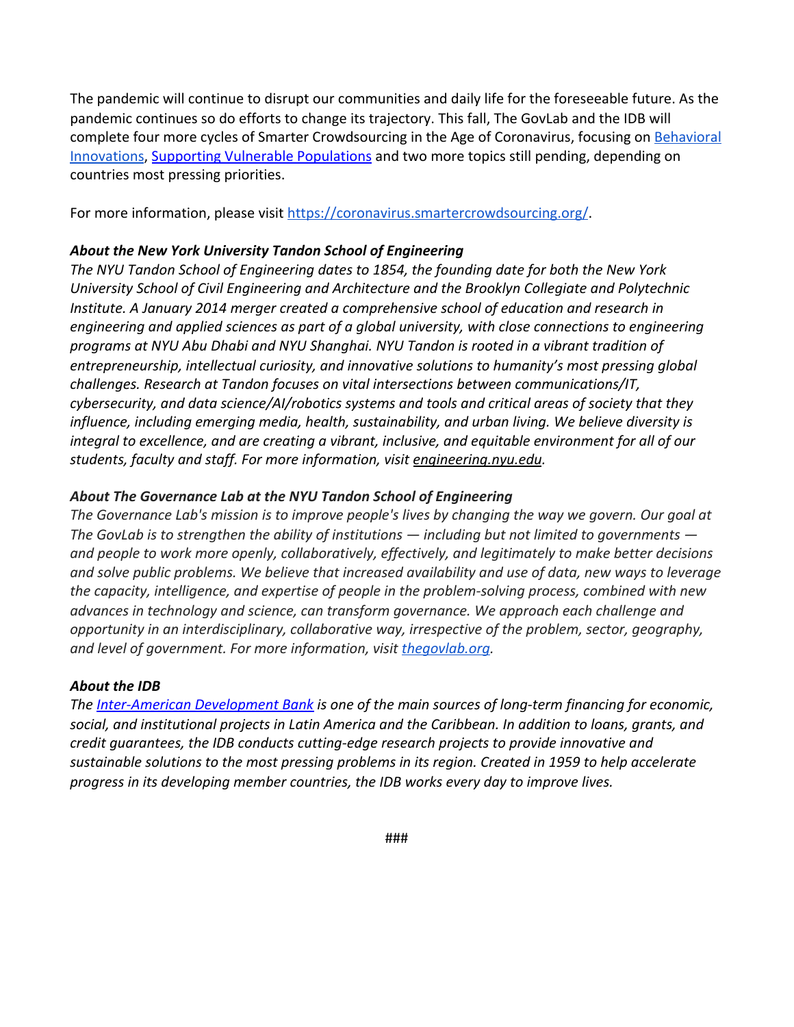The pandemic will continue to disrupt our communities and daily life for the foreseeable future. As the pandemic continues so do efforts to change its trajectory. This fall, The GovLab and the IDB will complete four more cycles of Smarter Crowdsourcing in the Age of Coronavirus, focusing on [Behavioral](https://coronavirus.smartercrowdsourcing.org/behavioral-science.html) [Innovations](https://coronavirus.smartercrowdsourcing.org/behavioral-science.html), [Supporting Vulnerable Populations](https://coronavirus.smartercrowdsourcing.org/supporting-marginalized-populations.html) and two more topics still pending, depending on countries most pressing priorities.

For more information, please visit https://coronavirus.smartercrowdsourcing.org/

### *About the New York University Tandon School of Engineering*

*The NYU Tandon School of Engineering dates to 1854, the founding date for both the New York University School of Civil Engineering and Architecture and the Brooklyn Collegiate and Polytechnic Institute. A January 2014 merger created a comprehensive school of education and research in engineering and applied sciences as part of a global university, with close connections to engineering programs at NYU Abu Dhabi and NYU Shanghai. NYU Tandon is rooted in a vibrant tradition of entrepreneurship, intellectual curiosity, and innovative solutions to humanity's most pressing global challenges. Research at Tandon focuses on vital intersections between communications/IT, cybersecurity, and data science/AI/robotics systems and tools and critical areas of society that they influence, including emerging media, health, sustainability, and urban living. We believe diversity is integral to excellence, and are creating a vibrant, inclusive, and equitable environment for all of our students, faculty and staff. For more information, visit [engineering.nyu.edu](http://engineering.nyu.edu/).*

#### *About The Governance Lab at the NYU Tandon School of Engineering*

*The Governance Lab's mission is to improve people's lives by changing the way we govern. Our goal at The GovLab is to strengthen the ability of institutions — including but not limited to governments and people to work more openly, collaboratively, effectively, and legitimately to make better decisions and solve public problems. We believe that increased availability and use of data, new ways to leverage the capacity, intelligence, and expertise of people in the problem-solving process, combined with new advances in technology and science, can transform governance. We approach each challenge and opportunity in an interdisciplinary, collaborative way, irrespective of the problem, sector, geography, and level of government. For more information, visit [thegovlab.org](https://urldefense.proofpoint.com/v2/url?u=http-3A__thegovlab.org&d=DwMFaQ&c=slrrB7dE8n7gBJbeO0g-IQ&r=bvlIfbjNh54RJ_iD1lUTzfyViTsh8dTslM-Qt6Jk9HQ&m=NzYbzzfLqe1QFu4ZHU5sQoGdwXCxYFvFex0wt9b7lCg&s=wNTfLLORdy1eTkve9vhPIxSjicW8dFAELXkTvgbe99E&e=).*

#### *About the IDB*

*The [Inter-American Development Bank](https://www.iadb.org/en/social-protection/social-protection) is one of the main sources of long-term financing for economic, social, and institutional projects in Latin America and the Caribbean. In addition to loans, grants, and credit guarantees, the IDB conducts cutting-edge research projects to provide innovative and sustainable solutions to the most pressing problems in its region. Created in 1959 to help accelerate progress in its developing member countries, the IDB works every day to improve lives.*